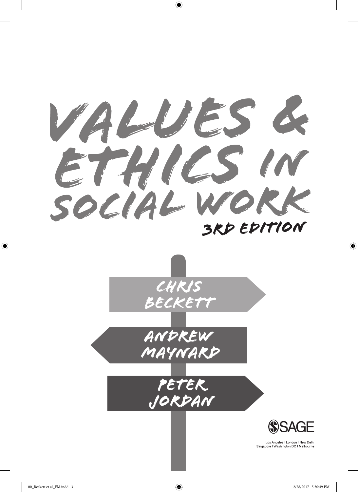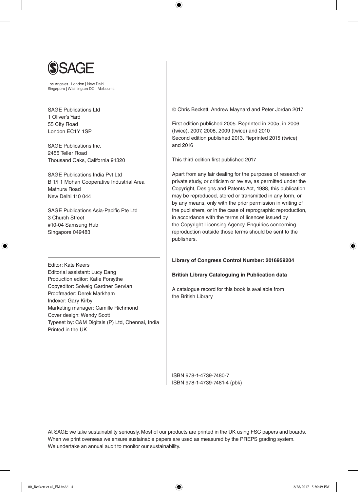

Los Angeles | London | New Delhi Singapore | Washington DC | Melbourne

SAGE Publications Ltd 1 Oliver's Yard 55 City Road London EC1Y 1SP

SAGE Publications Inc. 2455 Teller Road Thousand Oaks, California 91320

SAGE Publications India Pvt Ltd B 1/I 1 Mohan Cooperative Industrial Area Mathura Road New Delhi 110 044

SAGE Publications Asia-Pacific Pte Ltd 3 Church Street #10-04 Samsung Hub Singapore 049483

⊕

Editor: Kate Keers Editorial assistant: Lucy Dang Production editor: Katie Forsythe Copyeditor: Solveig Gardner Servian Proofreader: Derek Markham Indexer: Gary Kirby Marketing manager: Camille Richmond Cover design: Wendy Scott Typeset by: C&M Digitals (P) Ltd, Chennai, India Printed in the UK

Chris Beckett, Andrew Maynard and Peter Jordan 2017

First edition published 2005. Reprinted in 2005, in 2006 (twice), 2007, 2008, 2009 (twice) and 2010 Second edition published 2013. Reprinted 2015 (twice) and 2016

This third edition first published 2017

 $\textcolor{red}{\bigoplus}$ 

Apart from any fair dealing for the purposes of research or private study, or criticism or review, as permitted under the Copyright, Designs and Patents Act, 1988, this publication may be reproduced, stored or transmitted in any form, or by any means, only with the prior permission in writing of the publishers, or in the case of reprographic reproduction, in accordance with the terms of licences issued by the Copyright Licensing Agency. Enquiries concerning reproduction outside those terms should be sent to the publishers.

#### **Library of Congress Control Number: 2016959204**

#### **British Library Cataloguing in Publication data**

A catalogue record for this book is available from the British Library

ISBN 978-1-4739-7480-7 ISBN 978-1-4739-7481-4 (pbk)

At SAGE we take sustainability seriously. Most of our products are printed in the UK using FSC papers and boards. When we print overseas we ensure sustainable papers are used as measured by the PREPS grading system. We undertake an annual audit to monitor our sustainability.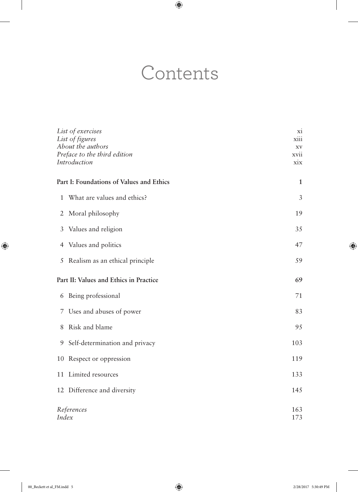# Contents

 $\bigoplus$ 

| List of exercises                        |                                 | X1           |
|------------------------------------------|---------------------------------|--------------|
| List of figures<br>About the authors     |                                 | xiii<br>XV   |
| Preface to the third edition             |                                 | XVII         |
| Introduction                             |                                 | xix          |
|                                          |                                 |              |
| Part I: Foundations of Values and Ethics |                                 | $\mathbf{1}$ |
| $\mathbf{1}$                             | What are values and ethics?     | 3            |
|                                          | 2 Moral philosophy              | 19           |
|                                          | 3 Values and religion           | 35           |
|                                          | 4 Values and politics           | 47           |
| 5                                        | Realism as an ethical principle | 59           |
| Part II: Values and Ethics in Practice   |                                 | 69           |
| 6                                        | Being professional              | 71           |
|                                          | 7 Uses and abuses of power      | 83           |
| 8                                        | Risk and blame                  | 95           |
| 9                                        | Self-determination and privacy  | 103          |
|                                          | 10 Respect or oppression        | 119          |
|                                          | 11 Limited resources            | 133          |
|                                          | 12 Difference and diversity     | 145          |
| References<br>Index                      |                                 | 163<br>173   |

 $\overline{\phantom{a}}$ 

 $\bigoplus$ 

 $\overline{\phantom{a}}$ 

 $\bigoplus$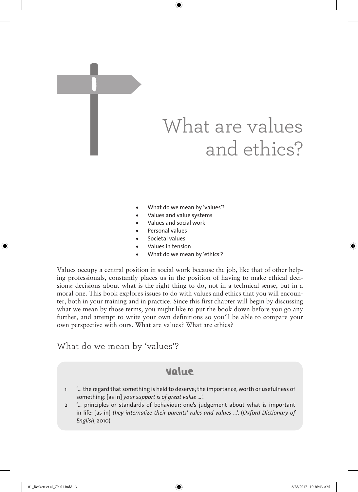# What are values and ethics?

• What do we mean by 'values'?

 $\bigoplus$ 

- Values and value systems
- Values and social work
- Personal values
- Societal values
- Values in tension
- What do we mean by 'ethics'?

Values occupy a central position in social work because the job, like that of other helping professionals, constantly places us in the position of having to make ethical decisions: decisions about what is the right thing to do, not in a technical sense, but in a moral one. This book explores issues to do with values and ethics that you will encounter, both in your training and in practice. Since this first chapter will begin by discussing what we mean by those terms, you might like to put the book down before you go any further, and attempt to write your own definitions so you'll be able to compare your own perspective with ours. What are values? What are ethics?

#### What do we mean by 'values'?

 $\overline{\phantom{a}}$ 

### Value

- 1 '… the regard that something is held to deserve; the importance, worth or usefulness of something: [as in] *your support is of great value* …'.
- 2 '… principles or standards of behaviour: one's judgement about what is important in life: [as in] *they internalize their parents' rules and values* …'. (*Oxford Dictionary of English*, 2010)

⊕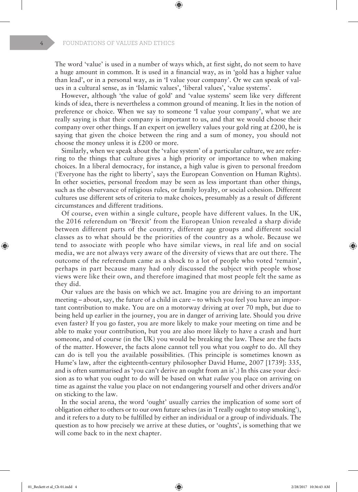#### 4 FOUNDATIONS OF VALUES AND ETHICS

The word 'value' is used in a number of ways which, at first sight, do not seem to have a huge amount in common. It is used in a financial way, as in 'gold has a higher value than lead', or in a personal way, as in 'I value your company'. Or we can speak of values in a cultural sense, as in 'Islamic values', 'liberal values', 'value systems'.

⊕

However, although 'the value of gold' and 'value systems' seem like very different kinds of idea, there is nevertheless a common ground of meaning. It lies in the notion of preference or choice. When we say to someone 'I value your company', what we are really saying is that their company is important to us, and that we would choose their company over other things. If an expert on jewellery values your gold ring at  $\text{\pounds}200$ , he is saying that given the choice between the ring and a sum of money, you should not choose the money unless it is  $£200$  or more.

Similarly, when we speak about the 'value system' of a particular culture, we are referring to the things that culture gives a high priority or importance to when making choices. In a liberal democracy, for instance, a high value is given to personal freedom ('Everyone has the right to liberty', says the European Convention on Human Rights). In other societies, personal freedom may be seen as less important than other things, such as the observance of religious rules, or family loyalty, or social cohesion. Different cultures use different sets of criteria to make choices, presumably as a result of different circumstances and different traditions.

Of course, even within a single culture, people have different values. In the UK, the 2016 referendum on 'Brexit' from the European Union revealed a sharp divide between different parts of the country, different age groups and different social classes as to what should be the priorities of the country as a whole. Because we tend to associate with people who have similar views, in real life and on social media, we are not always very aware of the diversity of views that are out there. The outcome of the referendum came as a shock to a lot of people who voted 'remain', perhaps in part because many had only discussed the subject with people whose views were like their own, and therefore imagined that most people felt the same as they did.

Our values are the basis on which we act. Imagine you are driving to an important meeting – about, say, the future of a child in care – to which you feel you have an important contribution to make. You are on a motorway driving at over 70 mph, but due to being held up earlier in the journey, you are in danger of arriving late. Should you drive even faster? If you go faster, you are more likely to make your meeting on time and be able to make your contribution, but you are also more likely to have a crash and hurt someone, and of course (in the UK) you would be breaking the law. These are the facts of the matter. However, the facts alone cannot tell you what you *ought* to do. All they can do is tell you the available possibilities. (This principle is sometimes known as Hume's law, after the eighteenth-century philosopher David Hume, 2007 [1739]: 335, and is often summarised as 'you can't derive an ought from an is'.) In this case your decision as to what you ought to do will be based on what *value* you place on arriving on time as against the value you place on not endangering yourself and other drivers and/or on sticking to the law.

In the social arena, the word 'ought' usually carries the implication of some sort of obligation either to others or to our own future selves (as in 'I really ought to stop smoking'), and it refers to a duty to be fulfilled by either an individual or a group of individuals. The question as to how precisely we arrive at these duties, or 'oughts', is something that we will come back to in the next chapter.

⊕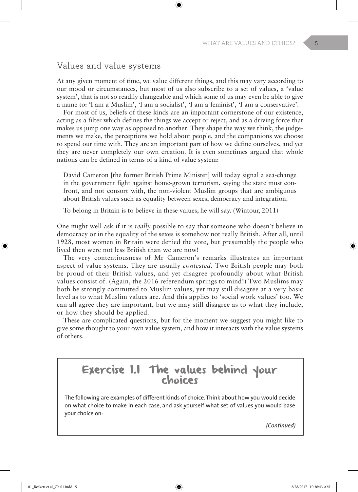#### Values and value systems

At any given moment of time, we value different things, and this may vary according to our mood or circumstances, but most of us also subscribe to a set of values, a 'value system', that is not so readily changeable and which some of us may even be able to give a name to: 'I am a Muslim', 'I am a socialist', 'I am a feminist', 'I am a conservative'.

⊕

For most of us, beliefs of these kinds are an important cornerstone of our existence, acting as a filter which defines the things we accept or reject, and as a driving force that makes us jump one way as opposed to another. They shape the way we think, the judgements we make, the perceptions we hold about people, and the companions we choose to spend our time with. They are an important part of how we define ourselves, and yet they are never completely our own creation. It is even sometimes argued that whole nations can be defined in terms of a kind of value system:

David Cameron [the former British Prime Minister] will today signal a sea-change in the government fight against home-grown terrorism, saying the state must confront, and not consort with, the non-violent Muslim groups that are ambiguous about British values such as equality between sexes, democracy and integration.

To belong in Britain is to believe in these values, he will say. (Wintour, 2011)

One might well ask if it is *really* possible to say that someone who doesn't believe in democracy or in the equality of the sexes is somehow not really British. After all, until 1928, most women in Britain were denied the vote, but presumably the people who lived then were not less British than we are now!

The very contentiousness of Mr Cameron's remarks illustrates an important aspect of value systems. They are usually *contested.* Two British people may both be proud of their British values, and yet disagree profoundly about what British values consist of. (Again, the 2016 referendum springs to mind!) Two Muslims may both be strongly committed to Muslim values, yet may still disagree at a very basic level as to what Muslim values are. And this applies to 'social work values' too. We can all agree they are important, but we may still disagree as to what they include, or how they should be applied.

These are complicated questions, but for the moment we suggest you might like to give some thought to your own value system, and how it interacts with the value systems of others.

### Exercise 1.1 The values behind your choices

The following are examples of different kinds of choice. Think about how you would decide on what choice to make in each case, and ask yourself what set of values you would base your choice on:

*(Continued)*

⊕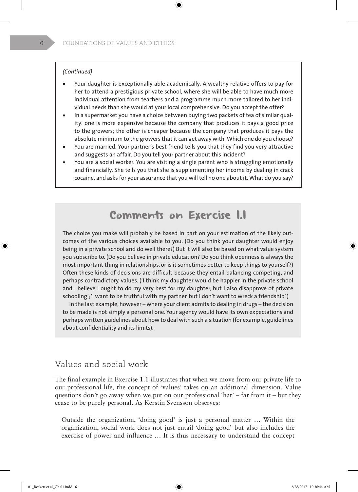#### *(Continued)*

• Your daughter is exceptionally able academically. A wealthy relative offers to pay for her to attend a prestigious private school, where she will be able to have much more individual attention from teachers and a programme much more tailored to her individual needs than she would at your local comprehensive. Do you accept the offer?

⊕

- In a supermarket you have a choice between buying two packets of tea of similar quality: one is more expensive because the company that produces it pays a good price to the growers; the other is cheaper because the company that produces it pays the absolute minimum to the growers that it can get away with. Which one do you choose?
- You are married. Your partner's best friend tells you that they find you very attractive and suggests an affair. Do you tell your partner about this incident?
- You are a social worker. You are visiting a single parent who is struggling emotionally and financially. She tells you that she is supplementing her income by dealing in crack cocaine, and asks for your assurance that you will tell no one about it. What do you say?

## Comments on Exercise 1.1

The choice you make will probably be based in part on your estimation of the likely outcomes of the various choices available to you. (Do you think your daughter would enjoy being in a private school and do well there?) But it will also be based on what value system you subscribe to. (Do you believe in private education? Do you think openness is always the most important thing in relationships, or is it sometimes better to keep things to yourself?) Often these kinds of decisions are difficult because they entail balancing competing, and perhaps contradictory, values. ('I think my daughter would be happier in the private school and I believe I ought to do my very best for my daughter, but I also disapprove of private schooling'; 'I want to be truthful with my partner, but I don't want to wreck a friendship'.)

In the last example, however – where your client admits to dealing in drugs – the decision to be made is not simply a personal one. Your agency would have its own expectations and perhaps written guidelines about how to deal with such a situation (for example, guidelines about confidentiality and its limits).

#### Values and social work

The final example in Exercise 1.1 illustrates that when we move from our private life to our professional life, the concept of 'values' takes on an additional dimension. Value questions don't go away when we put on our professional 'hat' – far from it – but they cease to be purely personal. As Kerstin Svensson observes:

Outside the organization, 'doing good' is just a personal matter … Within the organization, social work does not just entail 'doing good' but also includes the exercise of power and influence … It is thus necessary to understand the concept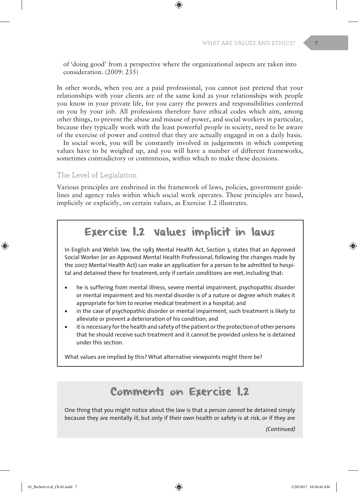of 'doing good' from a perspective where the organizational aspects are taken into consideration. (2009: 235)

⊕

In other words, when you are a paid professional, you cannot just pretend that your relationships with your clients are of the same kind as your relationships with people you know in your private life, for you carry the powers and responsibilities conferred on you by your job. All professions therefore have ethical codes which aim, among other things, to prevent the abuse and misuse of power, and social workers in particular, because they typically work with the least powerful people in society, need to be aware of the exercise of power and control that they are actually engaged in on a daily basis.

In social work, you will be constantly involved in judgements in which competing values have to be weighed up, and you will have a number of different frameworks, sometimes contradictory or contentious, within which to make these decisions.

#### The Level of Legislation

Various principles are enshrined in the framework of laws, policies, government guidelines and agency rules within which social work operates. These principles are based, implicitly or explicitly, on certain values, as Exercise 1.2 illustrates.

# Exercise 1.2 Values implicit in laws

In English and Welsh law, the 1983 Mental Health Act, Section 3, states that an Approved Social Worker (or an Approved Mental Health Professional, following the changes made by the 2007 Mental Health Act) can make an application for a person to be admitted to hospital and detained there for treatment, only if certain conditions are met, including that:

- he is suffering from mental illness, severe mental impairment, psychopathic disorder or mental impairment and his mental disorder is of a nature or degree which makes it appropriate for him to receive medical treatment in a hospital; and
- in the case of psychopathic disorder or mental impairment, such treatment is likely to alleviate or prevent a deterioration of his condition; and
- it is necessary for the health and safety of the patient or the protection of other persons that he should receive such treatment and it cannot be provided unless he is detained under this section.

What values are implied by this? What alternative viewpoints might there be?

## Comments on Exercise 1.2

One thing that you might notice about the law is that a person *cannot* be detained simply because they are mentally ill, but only if their own health or safety is at risk, or if they are

*(Continued)*

⊕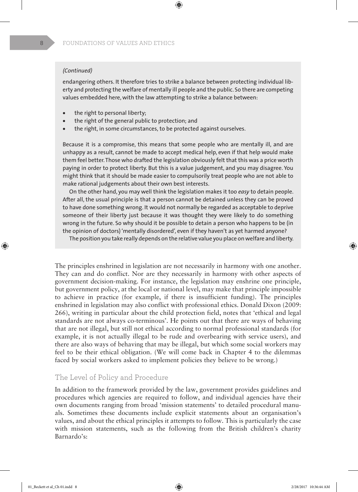#### *(Continued)*

endangering others. It therefore tries to strike a balance between protecting individual liberty and protecting the welfare of mentally ill people and the public. So there are competing values embedded here, with the law attempting to strike a balance between:

⊕

- the right to personal liberty;
- the right of the general public to protection; and
- the right, in some circumstances, to be protected against ourselves.

Because it is a compromise, this means that some people who are mentally ill, and are unhappy as a result, cannot be made to accept medical help, even if that help would make them feel better. Those who drafted the legislation obviously felt that this was a price worth paying in order to protect liberty. But this is a value judgement, and you may disagree. You might think that it should be made easier to compulsorily treat people who are not able to make rational judgements about their own best interests.

On the other hand, you may well think the legislation makes it too *easy* to detain people. After all, the usual principle is that a person cannot be detained unless they can be proved to have done something wrong. It would not normally be regarded as acceptable to deprive someone of their liberty just because it was thought they were likely to do something wrong in the future. So why should it be possible to detain a person who happens to be (in the opinion of doctors) 'mentally disordered', even if they haven't as yet harmed anyone?

The position you take really depends on the relative value you place on welfare and liberty.

The principles enshrined in legislation are not necessarily in harmony with one another. They can and do conflict. Nor are they necessarily in harmony with other aspects of government decision-making. For instance, the legislation may enshrine one principle, but government policy, at the local or national level, may make that principle impossible to achieve in practice (for example, if there is insufficient funding). The principles enshrined in legislation may also conflict with professional ethics. Donald Dixon (2009: 266), writing in particular about the child protection field, notes that 'ethical and legal standards are not always co-terminous'. He points out that there are ways of behaving that are not illegal, but still not ethical according to normal professional standards (for example, it is not actually illegal to be rude and overbearing with service users), and there are also ways of behaving that may be illegal, but which some social workers may feel to be their ethical obligation. (We will come back in Chapter 4 to the dilemmas faced by social workers asked to implement policies they believe to be wrong.)

#### The Level of Policy and Procedure

In addition to the framework provided by the law, government provides guidelines and procedures which agencies are required to follow, and individual agencies have their own documents ranging from broad 'mission statements' to detailed procedural manuals. Sometimes these documents include explicit statements about an organisation's values, and about the ethical principles it attempts to follow. This is particularly the case with mission statements, such as the following from the British children's charity Barnardo's:

♠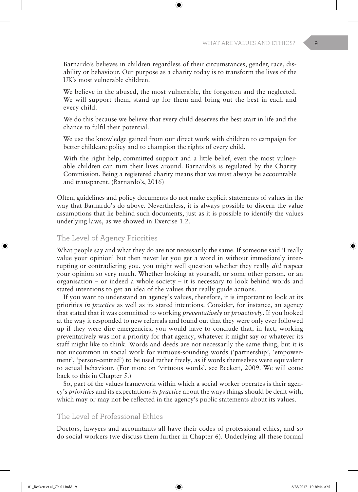Barnardo's believes in children regardless of their circumstances, gender, race, disability or behaviour. Our purpose as a charity today is to transform the lives of the UK's most vulnerable children.

⊕

We believe in the abused, the most vulnerable, the forgotten and the neglected. We will support them, stand up for them and bring out the best in each and every child.

We do this because we believe that every child deserves the best start in life and the chance to fulfil their potential.

We use the knowledge gained from our direct work with children to campaign for better childcare policy and to champion the rights of every child.

With the right help, committed support and a little belief, even the most vulnerable children can turn their lives around. Barnardo's is regulated by the Charity Commission. Being a registered charity means that we must always be accountable and transparent. (Barnardo's, 2016)

Often, guidelines and policy documents do not make explicit statements of values in the way that Barnardo's do above. Nevertheless, it is always possible to discern the value assumptions that lie behind such documents, just as it is possible to identify the values underlying laws, as we showed in Exercise 1.2.

#### The Level of Agency Priorities

What people say and what they do are not necessarily the same. If someone said 'I really value your opinion' but then never let you get a word in without immediately interrupting or contradicting you, you might well question whether they really *did* respect your opinion so very much. Whether looking at yourself, or some other person, or an organisation – or indeed a whole society – it is necessary to look behind words and stated intentions to get an idea of the values that really guide actions.

If you want to understand an agency's values, therefore, it is important to look at its priorities *in practice* as well as its stated intentions. Consider, for instance, an agency that stated that it was committed to working *preventatively* or *proactively*. If you looked at the way it responded to new referrals and found out that they were only ever followed up if they were dire emergencies, you would have to conclude that, in fact, working preventatively was not a priority for that agency, whatever it might say or whatever its staff might like to think. Words and deeds are not necessarily the same thing, but it is not uncommon in social work for virtuous-sounding words ('partnership', 'empowerment', 'person-centred') to be used rather freely, as if words themselves were equivalent to actual behaviour. (For more on 'virtuous words', see Beckett, 2009. We will come back to this in Chapter 5.)

So, part of the values framework within which a social worker operates is their agency's *priorities* and its expectations *in practice* about the ways things should be dealt with, which may or may not be reflected in the agency's public statements about its values.

#### The Level of Professional Ethics

Doctors, lawyers and accountants all have their codes of professional ethics, and so do social workers (we discuss them further in Chapter 6). Underlying all these formal

⊕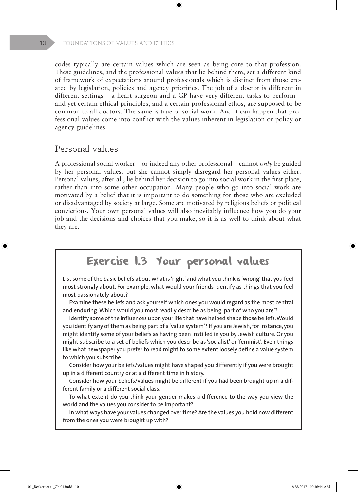#### 10 FOUNDATIONS OF VALUES AND ETHICS

codes typically are certain values which are seen as being core to that profession. These guidelines, and the professional values that lie behind them, set a different kind of framework of expectations around professionals which is distinct from those created by legislation, policies and agency priorities. The job of a doctor is different in different settings – a heart surgeon and a GP have very different tasks to perform – and yet certain ethical principles, and a certain professional ethos, are supposed to be common to all doctors. The same is true of social work. And it can happen that professional values come into conflict with the values inherent in legislation or policy or agency guidelines.

⊕

#### Personal values

A professional social worker – or indeed any other professional – cannot *only* be guided by her personal values, but she cannot simply disregard her personal values either. Personal values, after all, lie behind her decision to go into social work in the first place, rather than into some other occupation. Many people who go into social work are motivated by a belief that it is important to do something for those who are excluded or disadvantaged by society at large. Some are motivated by religious beliefs or political convictions. Your own personal values will also inevitably influence how you do your job and the decisions and choices that you make, so it is as well to think about what they are.

# Exercise 1.3 Your personal values

List some of the basic beliefs about what is 'right' and what you think is 'wrong' that you feel most strongly about. For example, what would your friends identify as things that you feel most passionately about?

Examine these beliefs and ask yourself which ones you would regard as the most central and enduring. Which would you most readily describe as being 'part of who you are'?

Identify some of the influences upon your life that have helped shape those beliefs. Would you identify any of them as being part of a 'value system'? If you are Jewish, for instance, you might identify some of your beliefs as having been instilled in you by Jewish culture. Or you might subscribe to a set of beliefs which you describe as 'socialist' or 'feminist'. Even things like what newspaper you prefer to read might to some extent loosely define a value system to which you subscribe.

Consider how your beliefs/values might have shaped you differently if you were brought up in a different country or at a different time in history.

Consider how your beliefs/values might be different if you had been brought up in a different family or a different social class.

To what extent do you think your gender makes a difference to the way you view the world and the values you consider to be important?

In what ways have your values changed over time? Are the values you hold now different from the ones you were brought up with?

♠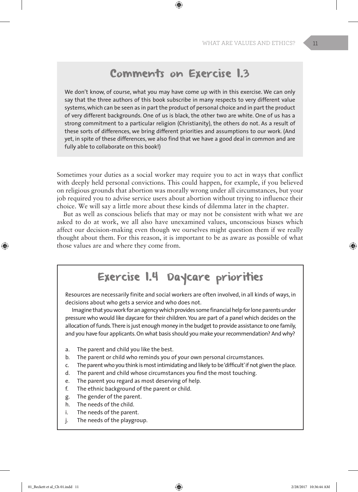# Comments on Exercise 1.3

⊕

We don't know, of course, what you may have come up with in this exercise. We can only say that the three authors of this book subscribe in many respects to very different value systems, which can be seen as in part the product of personal choice and in part the product of very different backgrounds. One of us is black, the other two are white. One of us has a strong commitment to a particular religion (Christianity), the others do not. As a result of these sorts of differences, we bring different priorities and assumptions to our work. (And yet, in spite of these differences, we also find that we have a good deal in common and are fully able to collaborate on this book!)

Sometimes your duties as a social worker may require you to act in ways that conflict with deeply held personal convictions. This could happen, for example, if you believed on religious grounds that abortion was morally wrong under all circumstances, but your job required you to advise service users about abortion without trying to influence their choice. We will say a little more about these kinds of dilemma later in the chapter.

But as well as conscious beliefs that may or may not be consistent with what we are asked to do at work, we all also have unexamined values, unconscious biases which affect our decision-making even though we ourselves might question them if we really thought about them. For this reason, it is important to be as aware as possible of what those values are and where they come from.

# Exercise 1.4 Daycare priorities

Resources are necessarily finite and social workers are often involved, in all kinds of ways, in decisions about who gets a service and who does not.

Imagine that you work for an agency which provides some financial help for lone parents under pressure who would like daycare for their children. You are part of a panel which decides on the allocation of funds. There is just enough money in the budget to provide assistance to one family, and you have four applicants. On what basis should you make your recommendation? And why?

- a. The parent and child you like the best.
- b. The parent or child who reminds you of your own personal circumstances.
- c. The parent who you think is most intimidating and likely to be 'difficult' if not given the place.
- d. The parent and child whose circumstances you find the most touching.
- e. The parent you regard as most deserving of help.
- f. The ethnic background of the parent or child.
- g. The gender of the parent.
- h. The needs of the child.
- i. The needs of the parent.
- j. The needs of the playgroup.

⊕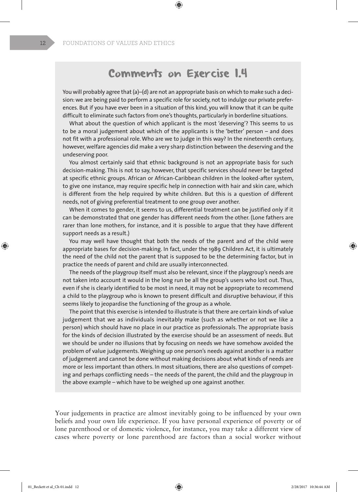# Comments on Exercise 1.4

⊕

You will probably agree that (a)–(d) are not an appropriate basis on which to make such a decision: we are being paid to perform a specific role for society, not to indulge our private preferences. But if you have ever been in a situation of this kind, you will know that it can be quite difficult to eliminate such factors from one's thoughts, particularly in borderline situations.

What about the question of which applicant is the most 'deserving'? This seems to us to be a moral judgement about which of the applicants is the 'better' person – and does not fit with a professional role. Who are we to judge in this way? In the nineteenth century, however, welfare agencies did make a very sharp distinction between the deserving and the undeserving poor.

You almost certainly said that ethnic background is not an appropriate basis for such decision-making. This is not to say, however, that specific services should never be targeted at specific ethnic groups. African or African-Caribbean children in the looked-after system, to give one instance, may require specific help in connection with hair and skin care, which is different from the help required by white children. But this is a question of different needs, not of giving preferential treatment to one group over another.

When it comes to gender, it seems to us, differential treatment can be justified only if it can be demonstrated that one gender has different needs from the other. (Lone fathers are rarer than lone mothers, for instance, and it is possible to argue that they have different support needs as a result.)

You may well have thought that both the needs of the parent and of the child were appropriate bases for decision-making. In fact, under the 1989 Children Act, it is ultimately the need of the child not the parent that is supposed to be the determining factor, but in practice the needs of parent and child are usually interconnected.

The needs of the playgroup itself must also be relevant, since if the playgroup's needs are not taken into account it would in the long run be all the group's users who lost out. Thus, even if she is clearly identified to be most in need, it may not be appropriate to recommend a child to the playgroup who is known to present difficult and disruptive behaviour, if this seems likely to jeopardise the functioning of the group as a whole.

The point that this exercise is intended to illustrate is that there are certain kinds of value judgement that we as individuals inevitably make (such as whether or not we like a person) which should have no place in our practice as professionals. The appropriate basis for the kinds of decision illustrated by the exercise should be an assessment of needs. But we should be under no illusions that by focusing on needs we have somehow avoided the problem of value judgements. Weighing up one person's needs against another is a matter of judgement and cannot be done without making decisions about what kinds of needs are more or less important than others. In most situations, there are also questions of competing and perhaps conflicting needs – the needs of the parent, the child and the playgroup in the above example – which have to be weighed up one against another.

Your judgements in practice are almost inevitably going to be influenced by your own beliefs and your own life experience. If you have personal experience of poverty or of lone parenthood or of domestic violence, for instance, you may take a different view of cases where poverty or lone parenthood are factors than a social worker without

♠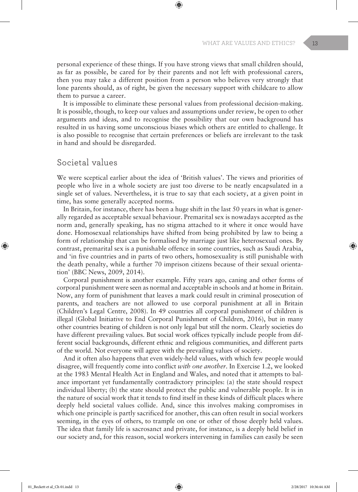personal experience of these things. If you have strong views that small children should, as far as possible, be cared for by their parents and not left with professional carers, then you may take a different position from a person who believes very strongly that lone parents should, as of right, be given the necessary support with childcare to allow them to pursue a career.

⊕

It is impossible to eliminate these personal values from professional decision-making. It is possible, though, to keep our values and assumptions under review, be open to other arguments and ideas, and to recognise the possibility that our own background has resulted in us having some unconscious biases which others are entitled to challenge. It is also possible to recognise that certain preferences or beliefs are irrelevant to the task in hand and should be disregarded.

#### Societal values

We were sceptical earlier about the idea of 'British values'. The views and priorities of people who live in a whole society are just too diverse to be neatly encapsulated in a single set of values. Nevertheless, it is true to say that each society, at a given point in time, has some generally accepted norms.

In Britain, for instance, there has been a huge shift in the last 50 years in what is generally regarded as acceptable sexual behaviour. Premarital sex is nowadays accepted as the norm and, generally speaking, has no stigma attached to it where it once would have done. Homosexual relationships have shifted from being prohibited by law to being a form of relationship that can be formalised by marriage just like heterosexual ones. By contrast, premarital sex is a punishable offence in some countries, such as Saudi Arabia, and 'in five countries and in parts of two others, homosexuality is still punishable with the death penalty, while a further 70 imprison citizens because of their sexual orientation' (BBC News, 2009, 2014).

Corporal punishment is another example. Fifty years ago, caning and other forms of corporal punishment were seen as normal and acceptable in schools and at home in Britain. Now, any form of punishment that leaves a mark could result in criminal prosecution of parents, and teachers are not allowed to use corporal punishment at all in Britain (Children's Legal Centre, 2008). In 49 countries all corporal punishment of children is illegal (Global Initiative to End Corporal Punishment of Children, 2016), but in many other countries beating of children is not only legal but still the norm. Clearly societies do have different prevailing values. But social work offices typically include people from different social backgrounds, different ethnic and religious communities, and different parts of the world. Not everyone will agree with the prevailing values of society.

And it often also happens that even widely-held values, with which few people would disagree, will frequently come into conflict *with one another*. In Exercise 1.2, we looked at the 1983 Mental Health Act in England and Wales, and noted that it attempts to balance important yet fundamentally contradictory principles: (a) the state should respect individual liberty; (b) the state should protect the public and vulnerable people. It is in the nature of social work that it tends to find itself in these kinds of difficult places where deeply held societal values collide. And, since this involves making compromises in which one principle is partly sacrificed for another, this can often result in social workers seeming, in the eyes of others, to trample on one or other of those deeply held values. The idea that family life is sacrosanct and private, for instance, is a deeply held belief in our society and, for this reason, social workers intervening in families can easily be seen

⊕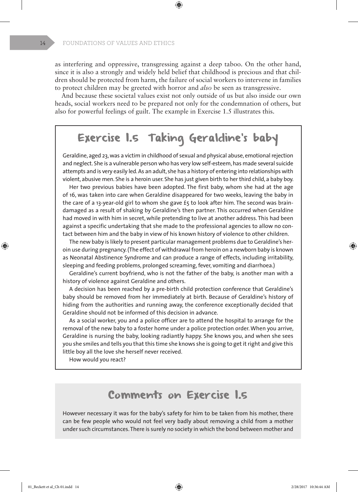as interfering and oppressive, transgressing against a deep taboo. On the other hand, since it is also a strongly and widely held belief that childhood is precious and that children should be protected from harm, the failure of social workers to intervene in families to protect children may be greeted with horror and *also* be seen as transgressive.

⊕

And because these societal values exist not only outside of us but also inside our own heads, social workers need to be prepared not only for the condemnation of others, but also for powerful feelings of guilt. The example in Exercise 1.5 illustrates this.

# Exercise 1.5 Taking Geraldine's baby

Geraldine, aged 23, was a victim in childhood of sexual and physical abuse, emotional rejection and neglect. She is a vulnerable person who has very low self-esteem, has made several suicide attempts and is very easily led. As an adult, she has a history of entering into relationships with violent, abusive men. She is a heroin user. She has just given birth to her third child, a baby boy.

Her two previous babies have been adopted. The first baby, whom she had at the age of 16, was taken into care when Geraldine disappeared for two weeks, leaving the baby in the care of a 13-year-old girl to whom she gave £5 to look after him. The second was braindamaged as a result of shaking by Geraldine's then partner. This occurred when Geraldine had moved in with him in secret, while pretending to live at another address. This had been against a specific undertaking that she made to the professional agencies to allow no contact between him and the baby in view of his known history of violence to other children.

The new baby is likely to present particular management problems due to Geraldine's heroin use during pregnancy. (The effect of withdrawal from heroin on a newborn baby is known as Neonatal Abstinence Syndrome and can produce a range of effects, including irritability, sleeping and feeding problems, prolonged screaming, fever, vomiting and diarrhoea.)

Geraldine's current boyfriend, who is not the father of the baby, is another man with a history of violence against Geraldine and others.

A decision has been reached by a pre-birth child protection conference that Geraldine's baby should be removed from her immediately at birth. Because of Geraldine's history of hiding from the authorities and running away, the conference exceptionally decided that Geraldine should not be informed of this decision in advance.

As a social worker, you and a police officer are to attend the hospital to arrange for the removal of the new baby to a foster home under a police protection order. When you arrive, Geraldine is nursing the baby, looking radiantly happy. She knows you, and when she sees you she smiles and tells you that this time she knows she is going to get it right and give this little boy all the love she herself never received.

How would you react?

# Comments on Exercise 1.5

However necessary it was for the baby's safety for him to be taken from his mother, there can be few people who would not feel very badly about removing a child from a mother under such circumstances. There is surely no society in which the bond between mother and

♠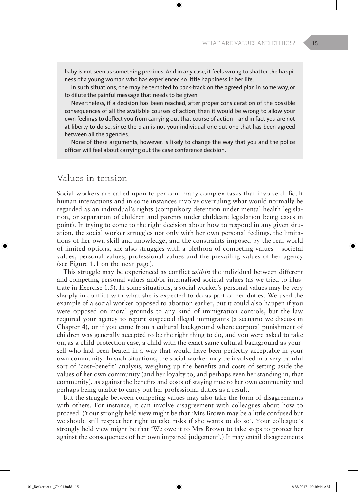baby is not seen as something precious. And in any case, it feels wrong to shatter the happiness of a young woman who has experienced so little happiness in her life.

In such situations, one may be tempted to back-track on the agreed plan in some way, or to dilute the painful message that needs to be given.

Nevertheless, if a decision has been reached, after proper consideration of the possible consequences of all the available courses of action, then it would be wrong to allow your own feelings to deflect you from carrying out that course of action – and in fact you are not at liberty to do so, since the plan is not your individual one but one that has been agreed between all the agencies.

None of these arguments, however, is likely to change the way that you and the police officer will feel about carrying out the case conference decision.

#### Values in tension

Social workers are called upon to perform many complex tasks that involve difficult human interactions and in some instances involve overruling what would normally be regarded as an individual's rights (compulsory detention under mental health legislation, or separation of children and parents under childcare legislation being cases in point). In trying to come to the right decision about how to respond in any given situation, the social worker struggles not only with her own personal feelings, the limitations of her own skill and knowledge, and the constraints imposed by the real world of limited options, she also struggles with a plethora of competing values – societal values, personal values, professional values and the prevailing values of her agency (see Figure 1.1 on the next page).

This struggle may be experienced as conflict *within* the individual between different and competing personal values and/or internalised societal values (as we tried to illustrate in Exercise 1.5). In some situations, a social worker's personal values may be very sharply in conflict with what she is expected to do as part of her duties. We used the example of a social worker opposed to abortion earlier, but it could also happen if you were opposed on moral grounds to any kind of immigration controls, but the law required your agency to report suspected illegal immigrants (a scenario we discuss in Chapter 4), or if you came from a cultural background where corporal punishment of children was generally accepted to be the right thing to do, and you were asked to take on, as a child protection case, a child with the exact same cultural background as yourself who had been beaten in a way that would have been perfectly acceptable in your own community. In such situations, the social worker may be involved in a very painful sort of 'cost–benefit' analysis, weighing up the benefits and costs of setting aside the values of her own community (and her loyalty to, and perhaps even her standing in, that community), as against the benefits and costs of staying true to her own community and perhaps being unable to carry out her professional duties as a result.

But the struggle between competing values may also take the form of disagreements with others. For instance, it can involve disagreement with colleagues about how to proceed. (Your strongly held view might be that 'Mrs Brown may be a little confused but we should still respect her right to take risks if she wants to do so'. Your colleague's strongly held view might be that 'We owe it to Mrs Brown to take steps to protect her against the consequences of her own impaired judgement'.) It may entail disagreements

♠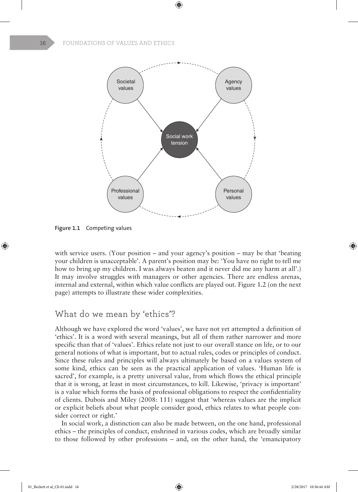16 FOUNDATIONS OF VALUES AND ETHICS



 $\bigoplus$ 

**Figure 1.1** Competing values

with service users. (Your position – and your agency's position – may be that 'beating your children is unacceptable'. A parent's position may be: 'You have no right to tell me how to bring up my children. I was always beaten and it never did me any harm at all'.) It may involve struggles with managers or other agencies. There are endless arenas, internal and external, within which value conflicts are played out. Figure 1.2 (on the next page) attempts to illustrate these wider complexities.

#### What do we mean by 'ethics'?

Although we have explored the word 'values', we have not yet attempted a definition of 'ethics'. It is a word with several meanings, but all of them rather narrower and more specific than that of 'values'. Ethics relate not just to our overall stance on life, or to our general notions of what is important, but to actual rules, codes or principles of conduct. Since these rules and principles will always ultimately be based on a values system of some kind, ethics can be seen as the practical application of values. 'Human life is sacred', for example, is a pretty universal value, from which flows the ethical principle that it is wrong, at least in most circumstances, to kill. Likewise, 'privacy is important' is a value which forms the basis of professional obligations to respect the confidentiality of clients. Dubois and Miley (2008: 111) suggest that 'whereas values are the implicit or explicit beliefs about what people consider good, ethics relates to what people consider correct or right.'

In social work, a distinction can also be made between, on the one hand, professional ethics – the principles of conduct, enshrined in various codes, which are broadly similar to those followed by other professions – and, on the other hand, the 'emancipatory

♠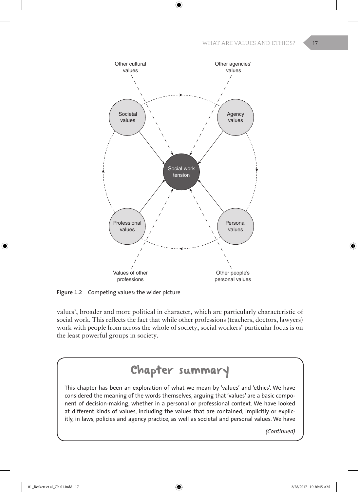#### WHAT ARE VALUES AND ETHICS? 17



 $\bigoplus$ 

**Figure 1.2** Competing values: the wider picture

values', broader and more political in character, which are particularly characteristic of social work. This reflects the fact that while other professions (teachers, doctors, lawyers) work with people from across the whole of society, social workers' particular focus is on the least powerful groups in society.

## Chapter summary This chapter has been an exploration of what we mean by 'values' and 'ethics'. We have considered the meaning of the words themselves, arguing that 'values' are a basic component of decision-making, whether in a personal or professional context. We have looked at different kinds of values, including the values that are contained, implicitly or explicitly, in laws, policies and agency practice, as well as societal and personal values. We have *(Continued)*

◈